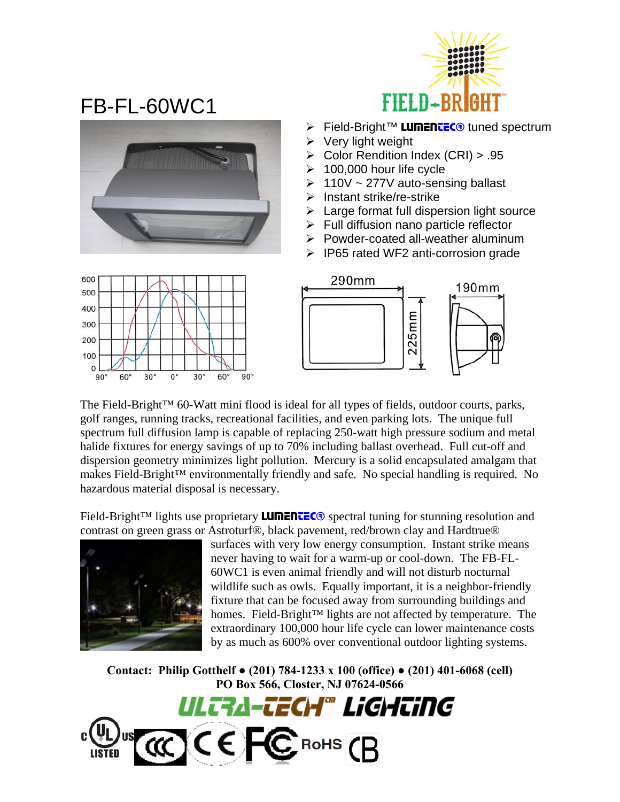

## FB-FL-60WC1



- **Eield-Bright™ LUMENTEC®** tuned spectrum
- $\triangleright$  Very light weight
- ¾ Color Rendition Index (CRI) > .95
- $\geq 100,000$  hour life cycle
- $\geq 110V \sim 277V$  auto-sensing ballast
- $\triangleright$  Instant strike/re-strike
- $\triangleright$  Large format full dispersion light source
- $\triangleright$  Full diffusion nano particle reflector
- $\triangleright$  Powder-coated all-weather aluminum
- $\triangleright$  IP65 rated WF2 anti-corrosion grade





The Field-Bright™ 60-Watt mini flood is ideal for all types of fields, outdoor courts, parks, golf ranges, running tracks, recreational facilities, and even parking lots. The unique full spectrum full diffusion lamp is capable of replacing 250-watt high pressure sodium and metal halide fixtures for energy savings of up to 70% including ballast overhead. Full cut-off and dispersion geometry minimizes light pollution. Mercury is a solid encapsulated amalgam that makes Field-Bright™ environmentally friendly and safe. No special handling is required. No hazardous material disposal is necessary.

Field-Bright<sup>™</sup> lights use proprietary **LUMENTEC**<sup>®</sup> spectral tuning for stunning resolution and contrast on green grass or Astroturf®, black pavement, red/brown clay and Hardtrue®



surfaces with very low energy consumption. Instant strike means never having to wait for a warm-up or cool-down. The FB-FL-60WC1 is even animal friendly and will not disturb nocturnal wildlife such as owls. Equally important, it is a neighbor-friendly fixture that can be focused away from surrounding buildings and homes. Field-Bright™ lights are not affected by temperature. The extraordinary 100,000 hour life cycle can lower maintenance costs by as much as 600% over conventional outdoor lighting systems.

**Contact: Philip Gotthelf ● (201) 784-1233 x 100 (office) ● (201) 401-6068 (cell) PO Box 566, Closter, NJ 07624-0566**